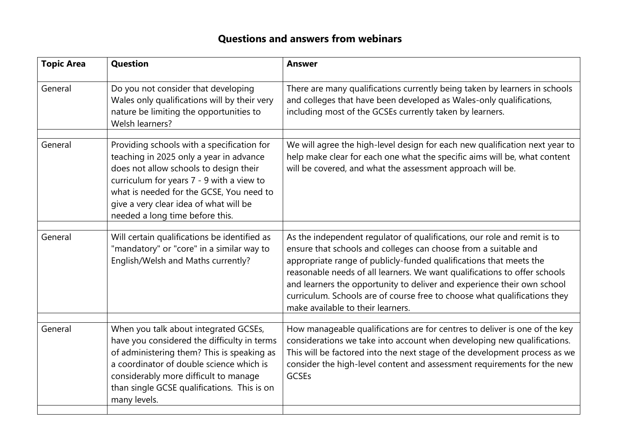## **Questions and answers from webinars**

| <b>Question</b>                                                                                                                                                                                                                                                                                       | <b>Answer</b>                                                                                                                                                                                                                                                                                                                                                                                                                                                                               |
|-------------------------------------------------------------------------------------------------------------------------------------------------------------------------------------------------------------------------------------------------------------------------------------------------------|---------------------------------------------------------------------------------------------------------------------------------------------------------------------------------------------------------------------------------------------------------------------------------------------------------------------------------------------------------------------------------------------------------------------------------------------------------------------------------------------|
| Do you not consider that developing<br>Wales only qualifications will by their very<br>nature be limiting the opportunities to<br>Welsh learners?                                                                                                                                                     | There are many qualifications currently being taken by learners in schools<br>and colleges that have been developed as Wales-only qualifications,<br>including most of the GCSEs currently taken by learners.                                                                                                                                                                                                                                                                               |
| Providing schools with a specification for<br>teaching in 2025 only a year in advance<br>does not allow schools to design their<br>curriculum for years 7 - 9 with a view to<br>what is needed for the GCSE, You need to<br>give a very clear idea of what will be<br>needed a long time before this. | We will agree the high-level design for each new qualification next year to<br>help make clear for each one what the specific aims will be, what content<br>will be covered, and what the assessment approach will be.                                                                                                                                                                                                                                                                      |
|                                                                                                                                                                                                                                                                                                       |                                                                                                                                                                                                                                                                                                                                                                                                                                                                                             |
| "mandatory" or "core" in a similar way to<br>English/Welsh and Maths currently?                                                                                                                                                                                                                       | As the independent regulator of qualifications, our role and remit is to<br>ensure that schools and colleges can choose from a suitable and<br>appropriate range of publicly-funded qualifications that meets the<br>reasonable needs of all learners. We want qualifications to offer schools<br>and learners the opportunity to deliver and experience their own school<br>curriculum. Schools are of course free to choose what qualifications they<br>make available to their learners. |
|                                                                                                                                                                                                                                                                                                       |                                                                                                                                                                                                                                                                                                                                                                                                                                                                                             |
| have you considered the difficulty in terms<br>of administering them? This is speaking as<br>a coordinator of double science which is<br>considerably more difficult to manage<br>than single GCSE qualifications. This is on<br>many levels.                                                         | How manageable qualifications are for centres to deliver is one of the key<br>considerations we take into account when developing new qualifications.<br>This will be factored into the next stage of the development process as we<br>consider the high-level content and assessment requirements for the new<br><b>GCSEs</b>                                                                                                                                                              |
|                                                                                                                                                                                                                                                                                                       | Will certain qualifications be identified as<br>When you talk about integrated GCSEs,                                                                                                                                                                                                                                                                                                                                                                                                       |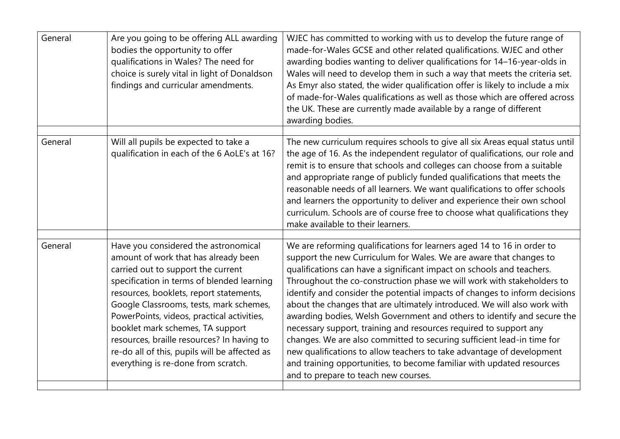| General | Are you going to be offering ALL awarding<br>bodies the opportunity to offer<br>qualifications in Wales? The need for<br>choice is surely vital in light of Donaldson<br>findings and curricular amendments.                                                                                                                                                                                                                                                                   | WJEC has committed to working with us to develop the future range of<br>made-for-Wales GCSE and other related qualifications. WJEC and other<br>awarding bodies wanting to deliver qualifications for 14-16-year-olds in<br>Wales will need to develop them in such a way that meets the criteria set.<br>As Emyr also stated, the wider qualification offer is likely to include a mix<br>of made-for-Wales qualifications as well as those which are offered across<br>the UK. These are currently made available by a range of different<br>awarding bodies.                                                                                                                                                                                                                                                                                                               |
|---------|--------------------------------------------------------------------------------------------------------------------------------------------------------------------------------------------------------------------------------------------------------------------------------------------------------------------------------------------------------------------------------------------------------------------------------------------------------------------------------|-------------------------------------------------------------------------------------------------------------------------------------------------------------------------------------------------------------------------------------------------------------------------------------------------------------------------------------------------------------------------------------------------------------------------------------------------------------------------------------------------------------------------------------------------------------------------------------------------------------------------------------------------------------------------------------------------------------------------------------------------------------------------------------------------------------------------------------------------------------------------------|
| General | Will all pupils be expected to take a<br>qualification in each of the 6 AoLE's at 16?                                                                                                                                                                                                                                                                                                                                                                                          | The new curriculum requires schools to give all six Areas equal status until<br>the age of 16. As the independent regulator of qualifications, our role and<br>remit is to ensure that schools and colleges can choose from a suitable<br>and appropriate range of publicly funded qualifications that meets the<br>reasonable needs of all learners. We want qualifications to offer schools<br>and learners the opportunity to deliver and experience their own school<br>curriculum. Schools are of course free to choose what qualifications they<br>make available to their learners.                                                                                                                                                                                                                                                                                    |
| General | Have you considered the astronomical<br>amount of work that has already been<br>carried out to support the current<br>specification in terms of blended learning<br>resources, booklets, report statements,<br>Google Classrooms, tests, mark schemes,<br>PowerPoints, videos, practical activities,<br>booklet mark schemes, TA support<br>resources, braille resources? In having to<br>re-do all of this, pupils will be affected as<br>everything is re-done from scratch. | We are reforming qualifications for learners aged 14 to 16 in order to<br>support the new Curriculum for Wales. We are aware that changes to<br>qualifications can have a significant impact on schools and teachers.<br>Throughout the co-construction phase we will work with stakeholders to<br>identify and consider the potential impacts of changes to inform decisions<br>about the changes that are ultimately introduced. We will also work with<br>awarding bodies, Welsh Government and others to identify and secure the<br>necessary support, training and resources required to support any<br>changes. We are also committed to securing sufficient lead-in time for<br>new qualifications to allow teachers to take advantage of development<br>and training opportunities, to become familiar with updated resources<br>and to prepare to teach new courses. |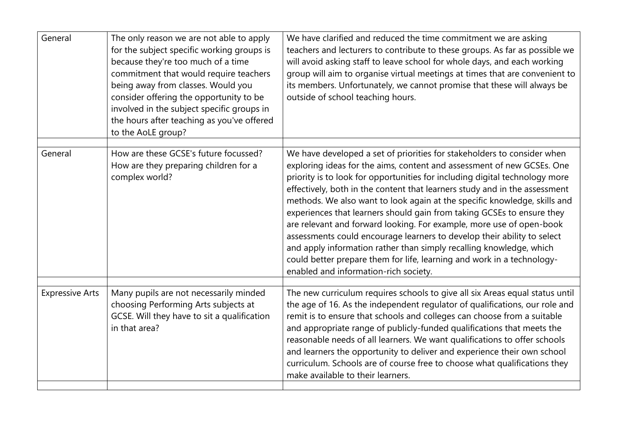| General                | The only reason we are not able to apply<br>for the subject specific working groups is<br>because they're too much of a time<br>commitment that would require teachers<br>being away from classes. Would you<br>consider offering the opportunity to be<br>involved in the subject specific groups in<br>the hours after teaching as you've offered<br>to the AoLE group? | We have clarified and reduced the time commitment we are asking<br>teachers and lecturers to contribute to these groups. As far as possible we<br>will avoid asking staff to leave school for whole days, and each working<br>group will aim to organise virtual meetings at times that are convenient to<br>its members. Unfortunately, we cannot promise that these will always be<br>outside of school teaching hours.                                                                                                                                                                                                                                                                                                               |
|------------------------|---------------------------------------------------------------------------------------------------------------------------------------------------------------------------------------------------------------------------------------------------------------------------------------------------------------------------------------------------------------------------|-----------------------------------------------------------------------------------------------------------------------------------------------------------------------------------------------------------------------------------------------------------------------------------------------------------------------------------------------------------------------------------------------------------------------------------------------------------------------------------------------------------------------------------------------------------------------------------------------------------------------------------------------------------------------------------------------------------------------------------------|
| General                | How are these GCSE's future focussed?                                                                                                                                                                                                                                                                                                                                     | We have developed a set of priorities for stakeholders to consider when                                                                                                                                                                                                                                                                                                                                                                                                                                                                                                                                                                                                                                                                 |
|                        | How are they preparing children for a<br>complex world?                                                                                                                                                                                                                                                                                                                   | exploring ideas for the aims, content and assessment of new GCSEs. One<br>priority is to look for opportunities for including digital technology more<br>effectively, both in the content that learners study and in the assessment<br>methods. We also want to look again at the specific knowledge, skills and<br>experiences that learners should gain from taking GCSEs to ensure they<br>are relevant and forward looking. For example, more use of open-book<br>assessments could encourage learners to develop their ability to select<br>and apply information rather than simply recalling knowledge, which<br>could better prepare them for life, learning and work in a technology-<br>enabled and information-rich society. |
| <b>Expressive Arts</b> | Many pupils are not necessarily minded                                                                                                                                                                                                                                                                                                                                    | The new curriculum requires schools to give all six Areas equal status until                                                                                                                                                                                                                                                                                                                                                                                                                                                                                                                                                                                                                                                            |
|                        | choosing Performing Arts subjects at<br>GCSE. Will they have to sit a qualification<br>in that area?                                                                                                                                                                                                                                                                      | the age of 16. As the independent regulator of qualifications, our role and<br>remit is to ensure that schools and colleges can choose from a suitable<br>and appropriate range of publicly-funded qualifications that meets the<br>reasonable needs of all learners. We want qualifications to offer schools<br>and learners the opportunity to deliver and experience their own school<br>curriculum. Schools are of course free to choose what qualifications they<br>make available to their learners.                                                                                                                                                                                                                              |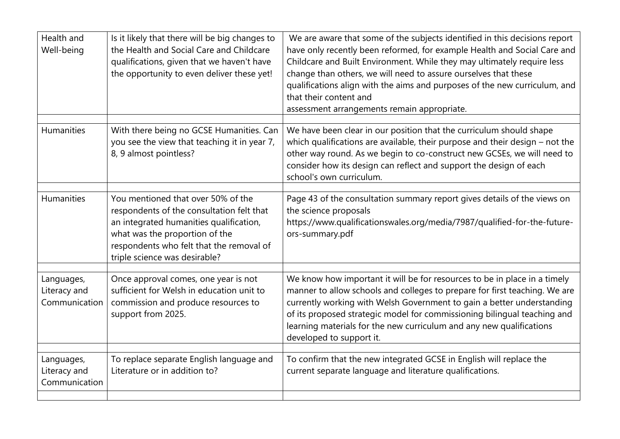| Health and<br>Well-being                    | Is it likely that there will be big changes to<br>the Health and Social Care and Childcare<br>qualifications, given that we haven't have<br>the opportunity to even deliver these yet!                                                    | We are aware that some of the subjects identified in this decisions report<br>have only recently been reformed, for example Health and Social Care and<br>Childcare and Built Environment. While they may ultimately require less<br>change than others, we will need to assure ourselves that these<br>qualifications align with the aims and purposes of the new curriculum, and<br>that their content and<br>assessment arrangements remain appropriate. |
|---------------------------------------------|-------------------------------------------------------------------------------------------------------------------------------------------------------------------------------------------------------------------------------------------|-------------------------------------------------------------------------------------------------------------------------------------------------------------------------------------------------------------------------------------------------------------------------------------------------------------------------------------------------------------------------------------------------------------------------------------------------------------|
| Humanities                                  | With there being no GCSE Humanities. Can<br>you see the view that teaching it in year 7,<br>8, 9 almost pointless?                                                                                                                        | We have been clear in our position that the curriculum should shape<br>which qualifications are available, their purpose and their design - not the<br>other way round. As we begin to co-construct new GCSEs, we will need to<br>consider how its design can reflect and support the design of each<br>school's own curriculum.                                                                                                                            |
| Humanities                                  | You mentioned that over 50% of the<br>respondents of the consultation felt that<br>an integrated humanities qualification,<br>what was the proportion of the<br>respondents who felt that the removal of<br>triple science was desirable? | Page 43 of the consultation summary report gives details of the views on<br>the science proposals<br>https://www.qualificationswales.org/media/7987/qualified-for-the-future-<br>ors-summary.pdf                                                                                                                                                                                                                                                            |
| Languages,<br>Literacy and<br>Communication | Once approval comes, one year is not<br>sufficient for Welsh in education unit to<br>commission and produce resources to<br>support from 2025.                                                                                            | We know how important it will be for resources to be in place in a timely<br>manner to allow schools and colleges to prepare for first teaching. We are<br>currently working with Welsh Government to gain a better understanding<br>of its proposed strategic model for commissioning bilingual teaching and<br>learning materials for the new curriculum and any new qualifications<br>developed to support it.                                           |
| Languages,<br>Literacy and<br>Communication | To replace separate English language and<br>Literature or in addition to?                                                                                                                                                                 | To confirm that the new integrated GCSE in English will replace the<br>current separate language and literature qualifications.                                                                                                                                                                                                                                                                                                                             |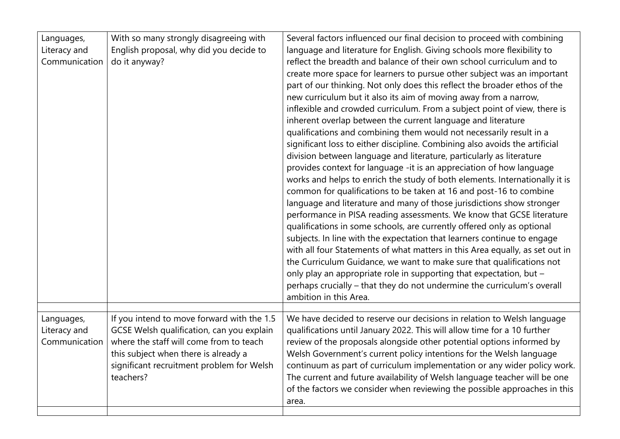| Languages,<br>Literacy and<br>Communication | With so many strongly disagreeing with<br>English proposal, why did you decide to<br>do it anyway?                                                                                                                                   | Several factors influenced our final decision to proceed with combining<br>language and literature for English. Giving schools more flexibility to<br>reflect the breadth and balance of their own school curriculum and to<br>create more space for learners to pursue other subject was an important<br>part of our thinking. Not only does this reflect the broader ethos of the<br>new curriculum but it also its aim of moving away from a narrow,<br>inflexible and crowded curriculum. From a subject point of view, there is<br>inherent overlap between the current language and literature<br>qualifications and combining them would not necessarily result in a<br>significant loss to either discipline. Combining also avoids the artificial<br>division between language and literature, particularly as literature<br>provides context for language -it is an appreciation of how language<br>works and helps to enrich the study of both elements. Internationally it is<br>common for qualifications to be taken at 16 and post-16 to combine<br>language and literature and many of those jurisdictions show stronger<br>performance in PISA reading assessments. We know that GCSE literature<br>qualifications in some schools, are currently offered only as optional<br>subjects. In line with the expectation that learners continue to engage<br>with all four Statements of what matters in this Area equally, as set out in<br>the Curriculum Guidance, we want to make sure that qualifications not<br>only play an appropriate role in supporting that expectation, but -<br>perhaps crucially - that they do not undermine the curriculum's overall<br>ambition in this Area. |
|---------------------------------------------|--------------------------------------------------------------------------------------------------------------------------------------------------------------------------------------------------------------------------------------|-------------------------------------------------------------------------------------------------------------------------------------------------------------------------------------------------------------------------------------------------------------------------------------------------------------------------------------------------------------------------------------------------------------------------------------------------------------------------------------------------------------------------------------------------------------------------------------------------------------------------------------------------------------------------------------------------------------------------------------------------------------------------------------------------------------------------------------------------------------------------------------------------------------------------------------------------------------------------------------------------------------------------------------------------------------------------------------------------------------------------------------------------------------------------------------------------------------------------------------------------------------------------------------------------------------------------------------------------------------------------------------------------------------------------------------------------------------------------------------------------------------------------------------------------------------------------------------------------------------------------------------------------------------------------------------------------------------|
| Languages,<br>Literacy and<br>Communication | If you intend to move forward with the 1.5<br>GCSE Welsh qualification, can you explain<br>where the staff will come from to teach<br>this subject when there is already a<br>significant recruitment problem for Welsh<br>teachers? | We have decided to reserve our decisions in relation to Welsh language<br>qualifications until January 2022. This will allow time for a 10 further<br>review of the proposals alongside other potential options informed by<br>Welsh Government's current policy intentions for the Welsh language<br>continuum as part of curriculum implementation or any wider policy work.<br>The current and future availability of Welsh language teacher will be one<br>of the factors we consider when reviewing the possible approaches in this<br>area.                                                                                                                                                                                                                                                                                                                                                                                                                                                                                                                                                                                                                                                                                                                                                                                                                                                                                                                                                                                                                                                                                                                                                           |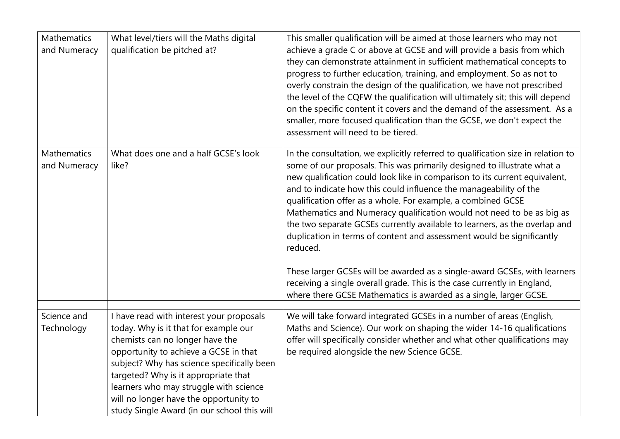| Mathematics<br>and Numeracy        | What level/tiers will the Maths digital<br>qualification be pitched at?                                                                                                                                                                                                                                                                                                                | This smaller qualification will be aimed at those learners who may not<br>achieve a grade C or above at GCSE and will provide a basis from which<br>they can demonstrate attainment in sufficient mathematical concepts to<br>progress to further education, training, and employment. So as not to<br>overly constrain the design of the qualification, we have not prescribed<br>the level of the CQFW the qualification will ultimately sit; this will depend<br>on the specific content it covers and the demand of the assessment. As a<br>smaller, more focused qualification than the GCSE, we don't expect the<br>assessment will need to be tiered.                                            |
|------------------------------------|----------------------------------------------------------------------------------------------------------------------------------------------------------------------------------------------------------------------------------------------------------------------------------------------------------------------------------------------------------------------------------------|---------------------------------------------------------------------------------------------------------------------------------------------------------------------------------------------------------------------------------------------------------------------------------------------------------------------------------------------------------------------------------------------------------------------------------------------------------------------------------------------------------------------------------------------------------------------------------------------------------------------------------------------------------------------------------------------------------|
| <b>Mathematics</b><br>and Numeracy | What does one and a half GCSE's look<br>like?                                                                                                                                                                                                                                                                                                                                          | In the consultation, we explicitly referred to qualification size in relation to<br>some of our proposals. This was primarily designed to illustrate what a<br>new qualification could look like in comparison to its current equivalent,<br>and to indicate how this could influence the manageability of the<br>qualification offer as a whole. For example, a combined GCSE<br>Mathematics and Numeracy qualification would not need to be as big as<br>the two separate GCSEs currently available to learners, as the overlap and<br>duplication in terms of content and assessment would be significantly<br>reduced.<br>These larger GCSEs will be awarded as a single-award GCSEs, with learners |
|                                    |                                                                                                                                                                                                                                                                                                                                                                                        | receiving a single overall grade. This is the case currently in England,<br>where there GCSE Mathematics is awarded as a single, larger GCSE.                                                                                                                                                                                                                                                                                                                                                                                                                                                                                                                                                           |
| Science and<br>Technology          | I have read with interest your proposals<br>today. Why is it that for example our<br>chemists can no longer have the<br>opportunity to achieve a GCSE in that<br>subject? Why has science specifically been<br>targeted? Why is it appropriate that<br>learners who may struggle with science<br>will no longer have the opportunity to<br>study Single Award (in our school this will | We will take forward integrated GCSEs in a number of areas (English,<br>Maths and Science). Our work on shaping the wider 14-16 qualifications<br>offer will specifically consider whether and what other qualifications may<br>be required alongside the new Science GCSE.                                                                                                                                                                                                                                                                                                                                                                                                                             |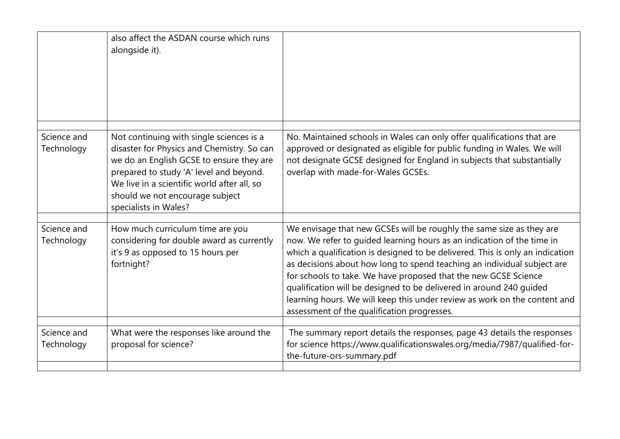|                           | also affect the ASDAN course which runs<br>alongside it).                                                                                                                                                                                                                                |                                                                                                                                                                                                                                                                                                                                                                                                                                                                                                                                                                                  |
|---------------------------|------------------------------------------------------------------------------------------------------------------------------------------------------------------------------------------------------------------------------------------------------------------------------------------|----------------------------------------------------------------------------------------------------------------------------------------------------------------------------------------------------------------------------------------------------------------------------------------------------------------------------------------------------------------------------------------------------------------------------------------------------------------------------------------------------------------------------------------------------------------------------------|
| Science and<br>Technology | Not continuing with single sciences is a<br>disaster for Physics and Chemistry. So can<br>we do an English GCSE to ensure they are<br>prepared to study 'A' level and beyond.<br>We live in a scientific world after all, so<br>should we not encourage subject<br>specialists in Wales? | No. Maintained schools in Wales can only offer qualifications that are<br>approved or designated as eligible for public funding in Wales. We will<br>not designate GCSE designed for England in subjects that substantially<br>overlap with made-for-Wales GCSEs.                                                                                                                                                                                                                                                                                                                |
| Science and<br>Technology | How much curriculum time are you<br>considering for double award as currently<br>it's 9 as opposed to 15 hours per<br>fortnight?                                                                                                                                                         | We envisage that new GCSEs will be roughly the same size as they are<br>now. We refer to guided learning hours as an indication of the time in<br>which a qualification is designed to be delivered. This is only an indication<br>as decisions about how long to spend teaching an individual subject are<br>for schools to take. We have proposed that the new GCSE Science<br>qualification will be designed to be delivered in around 240 guided<br>learning hours. We will keep this under review as work on the content and<br>assessment of the qualification progresses. |
| Science and<br>Technology | What were the responses like around the<br>proposal for science?                                                                                                                                                                                                                         | The summary report details the responses, page 43 details the responses<br>for science https://www.qualificationswales.org/media/7987/qualified-for-<br>the-future-ors-summary.pdf                                                                                                                                                                                                                                                                                                                                                                                               |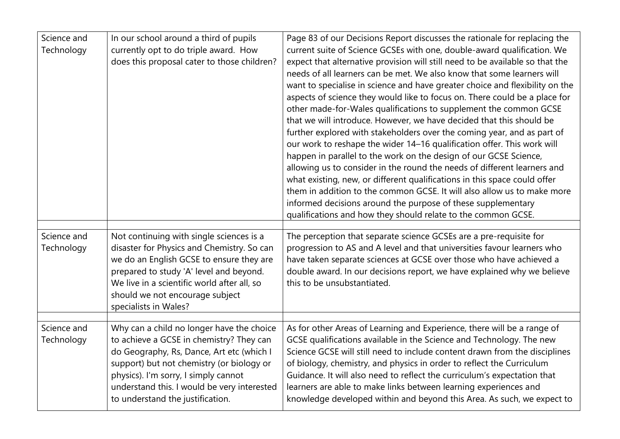| Science and<br>Technology | In our school around a third of pupils<br>currently opt to do triple award. How<br>does this proposal cater to those children?                                                                                                                                                           | Page 83 of our Decisions Report discusses the rationale for replacing the<br>current suite of Science GCSEs with one, double-award qualification. We<br>expect that alternative provision will still need to be available so that the<br>needs of all learners can be met. We also know that some learners will<br>want to specialise in science and have greater choice and flexibility on the<br>aspects of science they would like to focus on. There could be a place for<br>other made-for-Wales qualifications to supplement the common GCSE<br>that we will introduce. However, we have decided that this should be<br>further explored with stakeholders over the coming year, and as part of<br>our work to reshape the wider 14-16 qualification offer. This work will<br>happen in parallel to the work on the design of our GCSE Science,<br>allowing us to consider in the round the needs of different learners and<br>what existing, new, or different qualifications in this space could offer<br>them in addition to the common GCSE. It will also allow us to make more<br>informed decisions around the purpose of these supplementary<br>qualifications and how they should relate to the common GCSE. |
|---------------------------|------------------------------------------------------------------------------------------------------------------------------------------------------------------------------------------------------------------------------------------------------------------------------------------|----------------------------------------------------------------------------------------------------------------------------------------------------------------------------------------------------------------------------------------------------------------------------------------------------------------------------------------------------------------------------------------------------------------------------------------------------------------------------------------------------------------------------------------------------------------------------------------------------------------------------------------------------------------------------------------------------------------------------------------------------------------------------------------------------------------------------------------------------------------------------------------------------------------------------------------------------------------------------------------------------------------------------------------------------------------------------------------------------------------------------------------------------------------------------------------------------------------------------|
| Science and<br>Technology | Not continuing with single sciences is a<br>disaster for Physics and Chemistry. So can<br>we do an English GCSE to ensure they are<br>prepared to study 'A' level and beyond.<br>We live in a scientific world after all, so<br>should we not encourage subject<br>specialists in Wales? | The perception that separate science GCSEs are a pre-requisite for<br>progression to AS and A level and that universities favour learners who<br>have taken separate sciences at GCSE over those who have achieved a<br>double award. In our decisions report, we have explained why we believe<br>this to be unsubstantiated.                                                                                                                                                                                                                                                                                                                                                                                                                                                                                                                                                                                                                                                                                                                                                                                                                                                                                             |
| Science and<br>Technology | Why can a child no longer have the choice<br>to achieve a GCSE in chemistry? They can                                                                                                                                                                                                    | As for other Areas of Learning and Experience, there will be a range of<br>GCSE qualifications available in the Science and Technology. The new                                                                                                                                                                                                                                                                                                                                                                                                                                                                                                                                                                                                                                                                                                                                                                                                                                                                                                                                                                                                                                                                            |
|                           | do Geography, Rs, Dance, Art etc (which I<br>support) but not chemistry (or biology or<br>physics). I'm sorry, I simply cannot<br>understand this. I would be very interested<br>to understand the justification.                                                                        | Science GCSE will still need to include content drawn from the disciplines<br>of biology, chemistry, and physics in order to reflect the Curriculum<br>Guidance. It will also need to reflect the curriculum's expectation that<br>learners are able to make links between learning experiences and<br>knowledge developed within and beyond this Area. As such, we expect to                                                                                                                                                                                                                                                                                                                                                                                                                                                                                                                                                                                                                                                                                                                                                                                                                                              |